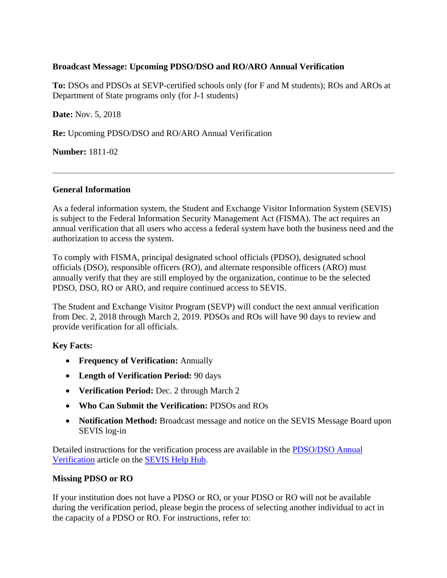# **Broadcast Message: Upcoming PDSO/DSO and RO/ARO Annual Verification**

**To:** DSOs and PDSOs at SEVP-certified schools only (for F and M students); ROs and AROs at Department of State programs only (for J-1 students)

**Date:** Nov. 5, 2018

**Re:** Upcoming PDSO/DSO and RO/ARO Annual Verification

**Number:** 1811-02

### **General Information**

As a federal information system, the Student and Exchange Visitor Information System (SEVIS) is subject to the Federal Information Security Management Act (FISMA). The act requires an annual verification that all users who access a federal system have both the business need and the authorization to access the system.

To comply with FISMA, principal designated school officials (PDSO), designated school officials (DSO), responsible officers (RO), and alternate responsible officers (ARO) must annually verify that they are still employed by the organization, continue to be the selected PDSO, DSO, RO or ARO, and require continued access to SEVIS.

The Student and Exchange Visitor Program (SEVP) will conduct the next annual verification from Dec. 2, 2018 through March 2, 2019. PDSOs and ROs will have 90 days to review and provide verification for all officials.

# **Key Facts:**

- **Frequency of Verification:** Annually
- **Length of Verification Period:** 90 days
- **Verification Period:** Dec. 2 through March 2
- **Who Can Submit the Verification:** PDSOs and ROs
- **Notification Method:** Broadcast message and notice on the SEVIS Message Board upon SEVIS log-in

Detailed instructions for the verification process are available in the [PDSO/DSO Annual](https://studyinthestates.dhs.gov/sevis-help-hub/school-records/pdsodso-annual-verification)  [Verification](https://studyinthestates.dhs.gov/sevis-help-hub/school-records/pdsodso-annual-verification) article on the [SEVIS Help Hub.](https://studyinthestates.dhs.gov/sevis-help-hub)

# **Missing PDSO or RO**

If your institution does not have a PDSO or RO, or your PDSO or RO will not be available during the verification period, please begin the process of selecting another individual to act in the capacity of a PDSO or RO. For instructions, refer to: